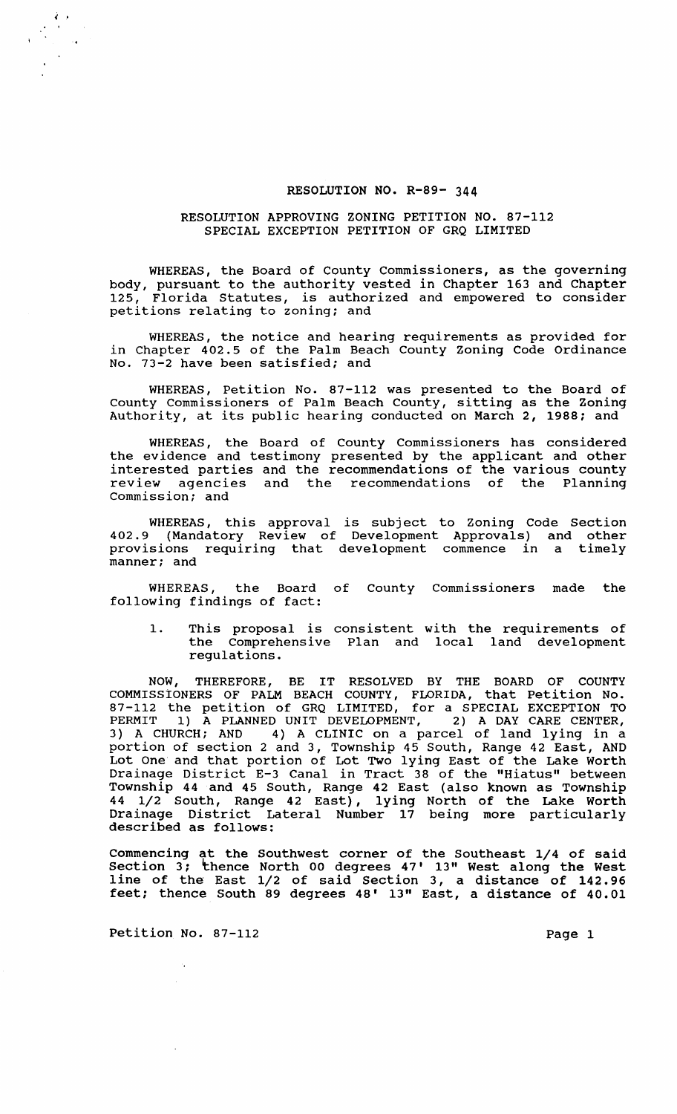#### RESOLUTION NO. R-89- 344

### RESOLUTION APPROVING ZONING PETITION NO. 87-112 SPECIAL EXCEPTION PETITION OF GRQ LIMITED

WHEREAS, the Board of County Commissioners, as the governing body, pursuant to the authority vested in Chapter 163 and Chapter<br>125. Florida Statutes, is authorized and empowered to consider Florida Statutes, is authorized and empowered to consider petitions relating to zoning; and

WHEREAS, the notice and hearing requirements as provided for in Chapter 402.5 of the Palm Beach County Zoning Code Ordinance No. 73-2 have been satisfied; and

WHEREAS, Petition No. 87-112 was presented to the Board of County Commissioners of Palm Beach County, sitting as the Zoning Authority, at its public hearing conducted on March 2, 1988; and

WHEREAS, the Board of County Commissioners has considered the evidence and testimony presented by the applicant and other interested parties and the recommendations of the various county review agencies and the recommendations of the Planning commission; and

WHEREAS, this approval is subject to Zoning Code Section 402.9 (Mandatory Review of Development Approvals) and other provisions requiring that development commence in a timely manner; and

WHEREAS, the Board of County Commissioners made the following findings of fact:

1. This proposal is consistent with the requirements of the Comprehensive Plan and local land development regulations.

NOW, THEREFORE, BE IT RESOLVED BY THE BOARD OF COUNTY COMMISSIONERS OF PALM BEACH COUNTY, FLORIDA, that Petition No. 87-112 the petition of GRQ LIMITED, for a SPECIAL EXCEPTION TO PERMIT 1) A PLANNED UNIT DEVELOPMENT, 2) A DAY CARE CENTER, 3) A CHURCH; AND 4) A CLINIC on a parcel of land lying in a portion of section 2 and 3, Township 45 South, Range 42 East, AND Lot One and that portion of Lot Two lying East of the Lake Worth Drainage District E-3 Canal in Tract 38 of the "Hiatus" between Township 44 and 45 South, Range 42 East (also known as Township 44 1/2 South, Range 42 East), lying North of the Lake Worth Drainage District Lateral Number 17 being more particularly described as follows:

Commencing at the Southwest corner of the Southeast 1/4 of said Section 3; thence North 00 degrees 47' 13" West along the West line of the East 1/2 of said section 3, a distance of 142.96 feet; thence South 89 degrees 48' 13" East, a distance of 40.01

Petition No. 87-112 Page 1

 $\epsilon$  , , ,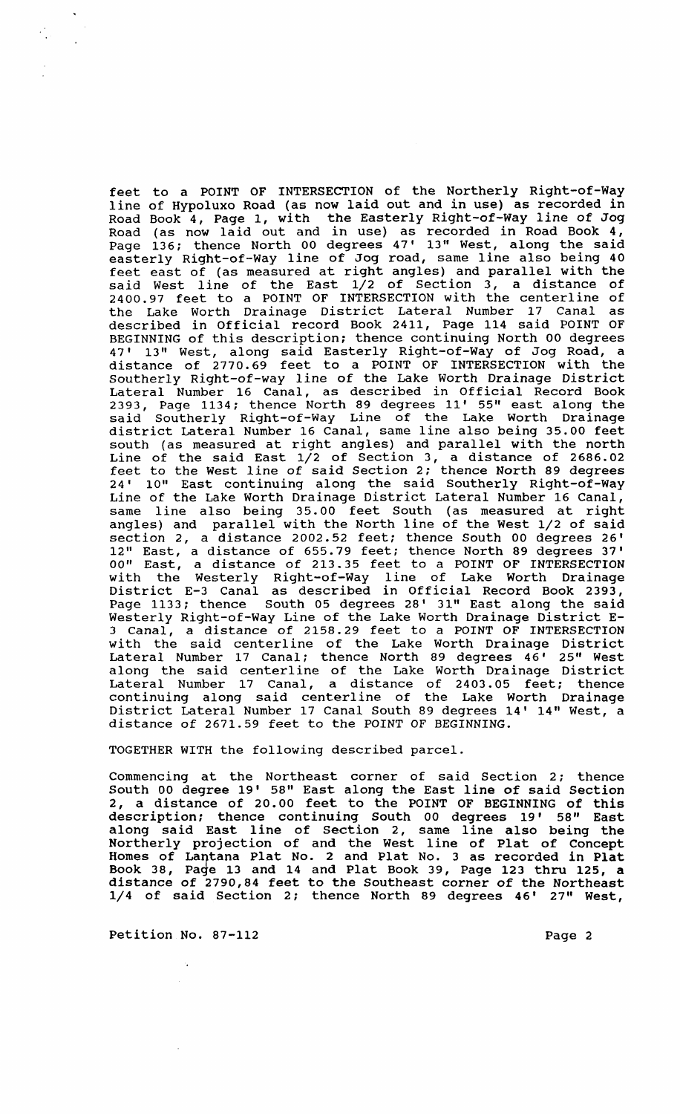feet to a POINT OF INTERSECTION of the Northerly Right-of-Way line of Hypoluxo Road (as now laid out and in use) as recorded in Road Book 4, Page 1, with the Easterly Right-of-Way line of Jog Road (as now laid out and in use) as recorded in Road Book 4, Page 136; thence North 00 degrees 47' 13" West, along the said easterly Right-of-Way line of Jog road, same line also being 40 feet east of (as measured at right angles) and parallel with the said West line of the East 1/2 of section 3, a distance of 2400.97 feet to a POINT OF INTERSECTION with the centerline of the Lake Worth Drainage District Lateral Number 17 Canal as described in Official record Book 2411, Page 114 said POINT OF BEGINNING of this description; thence continuing North 00 degrees 47' 13" West, along said Easterly Right-of-Way of Jog Road, a distance of 2770.69 feet to a POINT OF INTERSECTION with the southerly Right-of-way line of the Lake Worth Drainage District Lateral Number 16 Canal, as described in Official Record Book 2393, Page 1134; thence North 89 degrees 11' 55" east along the said Southerly Right-of-Way Line of the Lake Worth Drainage district Lateral Number 16 Canal, same line also being 35.00 feet aistrict Batchar Mamber 15 Sanar, Same Tine also being 55.00 1996 Line of the said East  $1/2$  of Section 3, a distance of 2686.02 feet to the West line of said Section 2; thence North 89 degrees 24' 10" East continuing along the said Southerly Right-of-Way Line of the Lake Worth Drainage District Lateral Number 16 Canal, same line also being 35.00 feet South (as measured at right angles) and parallel with the North line of the West 1/2 of said section 2, a distance 2002.52 feet; thence South 00 degrees 26' 12" East, a distance of 655.79 feet; thence North 89 degrees 37' 00" East, a distance of 213.35 feet to a POINT OF INTERSECTION with the Westerly Right-of-Way line of Lake Worth Drainage District E-3 Canal as described in Official Record Book 2393, Page 1133; thence South 05 degrees 28' 31" East along the said Westerly Right-of-way Line of the Lake Worth Drainage District E-3 Canal, a distance of 2158.29 feet to a POINT OF INTERSECTION with the said centerline of the Lake Worth Drainage District Lateral Number 17 Canal; thence North 89 degrees 46' 25" West along the said centerline of the Lake Worth Drainage District Lateral Number 17 Canal, a distance of 2403.05 feet; thence continuing along said centerline of the Lake Worth Drainage District Lateral Number 17 Canal South 89 degrees 14' 14" West, a distance of 2671.59 feet to the POINT OF BEGINNING.

TOGETHER WITH the following described parcel.

Commencing at the Northeast corner of said Section 2; thence South 00 degree 19' 58" East along the East line of said Section 2, a distance of 20.00 feet to the POINT OF BEGINNING of this description; thence continuing South 00 degrees 19' 58" East along said East line of section 2, same line also being the Northerly projection of and the West line of Plat of Concept Homes of Lantana Plat No. 2 and Plat No. 3 as recorded in Plat Book 38, Page 13 and 14 and Plat Book 39, Page 123 thru 125, a distance of 2790,84 feet to the Southeast corner of the Northeast 1/4 of said Section 2; thence North 89 degrees 46' 27" West,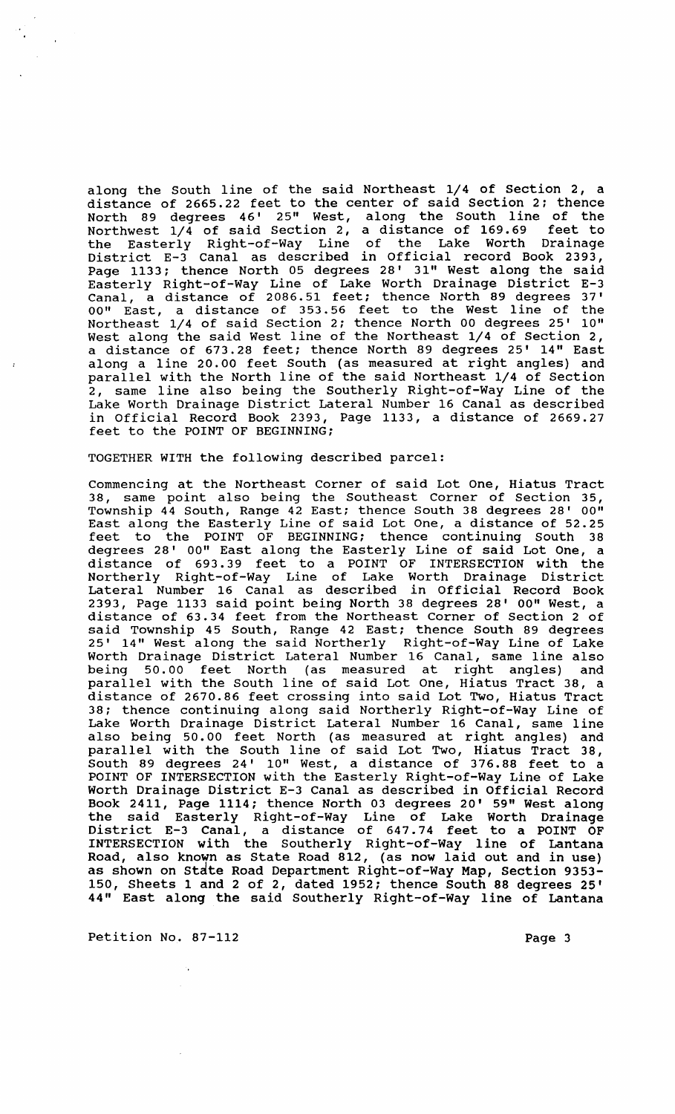along the South line of the said Northeast 1/4 of section 2, a distance of 2665.22 feet to the center of said Section 2: thence North 89 degrees 46' 25" West, along the South line of the Northwest 1/4 of said section 2, a distance of 169.69 feet to the Easterly Right-of-Way Line of the Lake Worth Drainage District E-3 Canal as described in Official record Book 2393, Page 1133: thence North 05 degrees 28' 31" West along the said Easterly Right-of-Way Line of Lake Worth Drainage District E-3 Canal, a distance of 2086.51 feet; thence North 89 degrees 37' 00" East, a distance of 353.56 feet to the West line of the Northeast 1/4 of said section 2; thence North 00 degrees 25' 10" West along the said West line of the Northeast 1/4 of section 2, a distance of 673.28 feet; thence North 89 degrees 25' 14" East along a line 20.00 feet South (as measured at right angles) and parallel with the North line of the said Northeast 1/4 of Section 2, same line also being the Southerly Right-of-Way Line of the Lake Worth Drainage District Lateral Number 16 Canal as described in Official Record Book 2393, Page 1133, a distance of 2669.27 feet to the POINT OF BEGINNING;

#### TOGETHER WITH the following described parcel:

Commencing at the Northeast Corner of said Lot One, Hiatus Tract 38, same point also being the Southeast Corner of section 35, Township 44 South, Range 42 East; thence South 38 degrees 28' 00" East along the Easterly Line of said Lot One, a distance of 52.25 feet to the POINT OF BEGINNING; thence continuing South 38 degrees 28' 00" East along the Easterly Line of said Lot One, a distance of 693.39 feet to a POINT OF INTERSECTION with the Northerly Right-of-Way Line of Lake Worth Drainage District Lateral Number 16 Canal as described in Official Record Book 2393, Page 1133 said point being North 38 degrees 28' 00" West, a distance of 63.34 feet from the Northeast Corner of Section 2 of said Township 45 South, Range 42 East; thence South 89 degrees 25' 14" West along the said Northerly Right-of-Way Line of Lake Worth Drainage District Lateral Number 16 Canal, same line also being 50.00 feet North (as measured at right angles) and parallel with the South line of said Lot One, Hiatus Tract 38, a distance of 2670.86 feet crossing into said Lot Two, Hiatus Tract 38; thence continuing along said Northerly Right-of-Way Line of Lake Worth Drainage District Lateral Number 16 Canal, same line also being 50.00 feet North (as measured at right angles) and parallel with the South line of said Lot Two, Hiatus Tract 38, South 89 degrees 24' 10" West, a distance of 376.88 feet to a POINT OF INTERSECTION with the Easterly Right-of-Way Line of Lake Worth Drainage District E-3 Canal as described in Official Record Book 2411, Page 1114; thence North 03 degrees 20' 59" West along the said Easterly Right-of-Way Line of Lake Worth Drainage District E-3 Canal, a distance of 647.74 feet to a POINT OF INTERSECTION with the Southerly Right-of-Way line of Lantana Road, also known as State Road 812, (as now laid out and in use) as shown on State Road Department Right-of-Way Map, Section 9353-150, Sheets 1 and 2 of 2, dated 1952; thence South 88 degrees 25' 44" East along the said Southerly Right-of-Way line of Lantana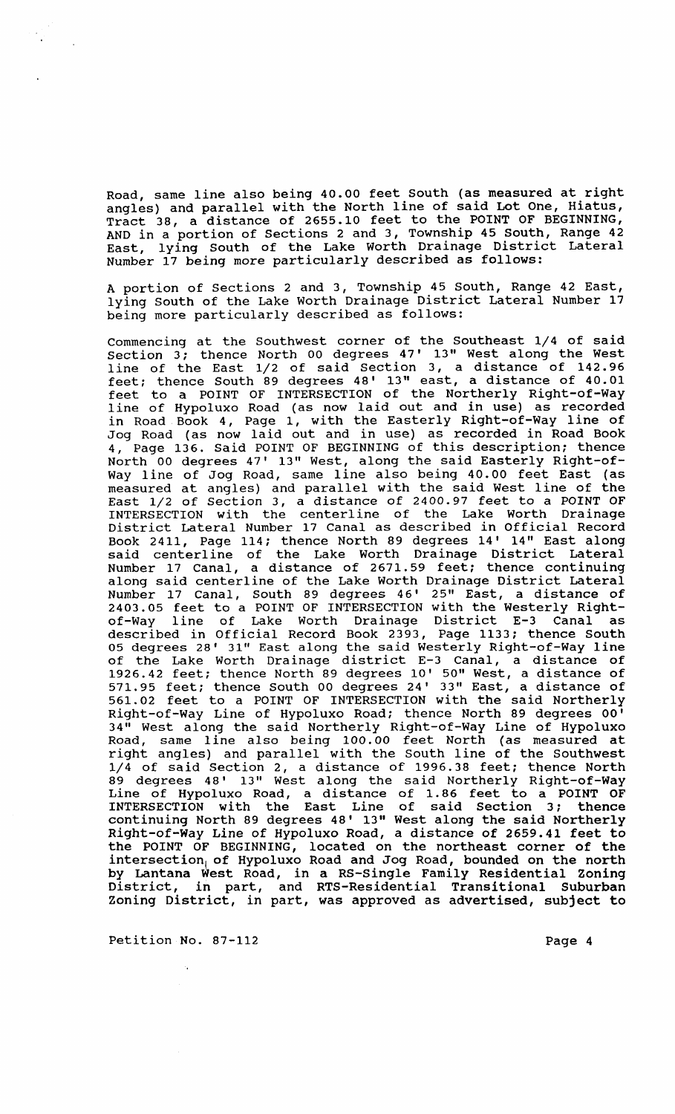Road, same line also being 40.00 feet South (as measured at right angles) and parallel with the North line of said Lot One, Hiatus, Tract 38, a distance of 2655.10 feet to the POINT OF BEGINNING, AND in a portion of sections 2 and 3, Township 45 South, Range 42 East, lying South of the Lake Worth Drainage District Lateral Number 17 being more particularly described as follows:

A portion of Sections 2 and 3, Township 45 south, Range 42 East, lying South of the Lake Worth Drainage District Lateral Number 17 being more particularly described as follows:

Commencing at the Southwest corner of the Southeast 1/4 of said section 3; thence North 00 degrees 47' 13" West along the West line of the East 1/2 of said section 3, a distance of 142.96 feet; thence South 89 degrees 48' 13" east, a distance of 40.01 feet to a POINT OF INTERSECTION of the Northerly Right-of-Way line of Hypoluxo Road (as now laid out and in use) as recorded in Road Book 4, Page 1, with the Easterly Right-of-Way line of Jog Road (as now laid out and in use) as recorded in Road Book 4, Page 136. Said POINT OF BEGINNING of this description; thence North 00 degrees 47' 13" West, along the said Easterly Right-of-Way line of Jog Road, same line also being 40.00 feet East (as may time of sog hoad, same time also soing to soot less pass (as East 1/2 of section 3, a distance of 2400.97 feet to a POINT OF INTERSECTION with the centerline of the Lake Worth Drainage District Lateral Number 17 Canal as described in Official Record Book 2411, Page 114; thence North 89 degrees 14' 14" East along said centerline of the Lake Worth Drainage District Lateral Number 17 Canal, a distance of 2671.59 feet; thence continuing along said centerline of the Lake Worth Drainage District Lateral Number 17 Canal, South 89 degrees 46' 25" East, a distance of 2403.05 feet to a POINT OF INTERSECTION with the Westerly Rightof-Way line of Lake Worth Drainage District E-3 Canal as described in Official Record Book 2393, Page 1133; thence South 05 degrees 28' 31" East along the said Westerly Right-of-Way line of the Lake Worth Drainage district E-3 Canal, a distance of 1926.42 feet; thence North 89 degrees 10' 50" West, a distance of 571.95 feet; thence South 00 degrees 24' 33" East, a distance of 561.02 feet to a POINT OF INTERSECTION with the said Northerly Right-of-Way Line of Hypoluxo Road; thence North 89 degrees 00' 34" West along the said Northerly Right-of-Way Line of Hypoluxo Road, same line also being 100.00 feet North (as measured at right angles) and parallel with the South line of the Southwest 1/4 of said section 2, a distance of 1996.38 feet; thence North 89 degrees 48' 13" West along the said Northerly Right-of-Way Line of Hypoluxo Road, a distance of 1.86 feet to a POINT OF INTERSECTION with the East Line of said Section 3; thence continuing North 89 degrees 48' 13" West along the said Northerly Right-of-Way Line of Hypoluxo Road, a distance of 2659.41 feet to the POINT OF BEGINNING, located on the northeast corner of the intersection, of Hypoluxo Road and Jog Road, bounded on the north by Lantana West Road, in a RS-Single Family Residential Zoning District, in part, and RTS-Residential Transitional Suburban Zoning District, in part, was approved as advertised, subject to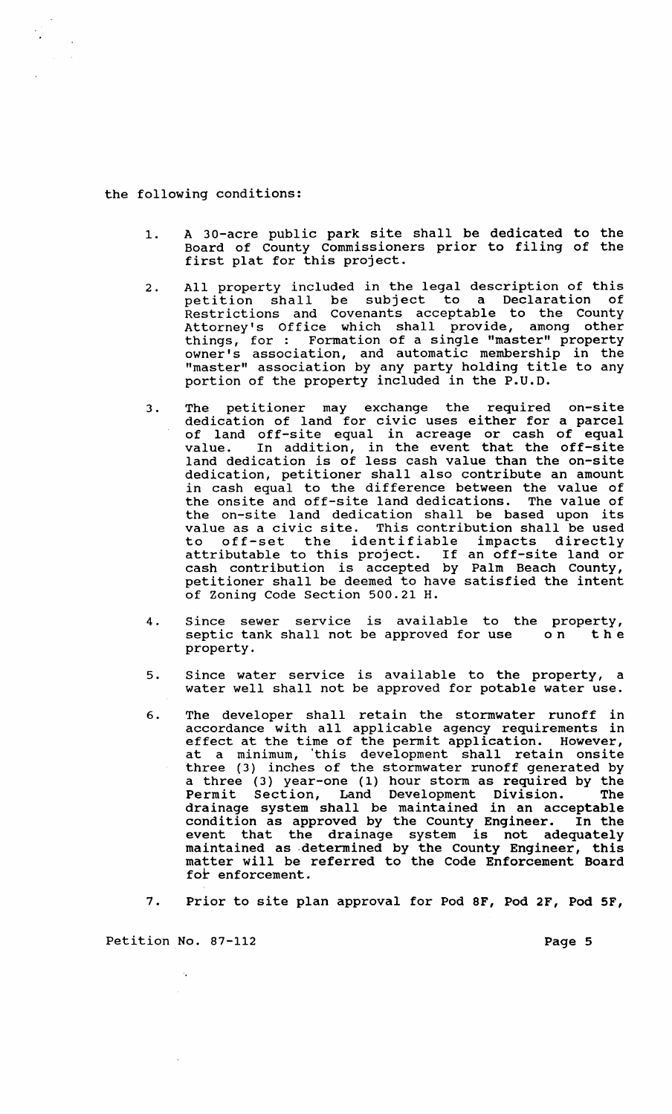#### the following conditions:

 $\sim$   $\sim$ 

- 1. A 30-acre public park site shall be dedicated to the Board of County commissioners prior to filing of the first plat for this project.
- 2. All property included in the legal description of this petition shall be subject to a Declaration of Restrictions and Covenants acceptable to the County Attorney's Office which shall provide, among other Attorney's Office which shaff provide, among other<br>things, for: Formation of a single "master" property owner's association, and automatic membership in the owner's association, and automatic membership in the<br>"master" association by any party holding title to any portion of the property included in the P.U.D.
- 3. The petitioner may exchange the required on-site dedication of land for civic uses either for a parcel of land off-site equal in acreage or cash of equal value. In addition, in the event that the off-site land dedication is of less cash value than the on-site dedication, petitioner shall also contribute an amount in cash equal to the difference between the value of the onsite and off-site land dedications. The value of the on-site land dedication shall be based upon its value as a civic site. This contribution shall be used<br>to off-set the identifiable impacts directly off-set the identifiable impacts directly attributable to this project. If an off-site land or cash contribution is accepted by Palm Beach County, petitioner shall be deemed to have satisfied the intent of Zoning Code section 500.21 H.
- 4. Since sewer service is available to the property, septic tank shall not be approved for use on the property.
- 5. Since water service is available to the property, a water well shall not be approved for potable water use.
- 6. The developer shall retain the stormwater runoff in ine developer shart recain the scormwater runoir in<br>accordance with all applicable agency requirements in effect at the time of the permit application. However, at a minimum, 'this development shall retain onsite three (3) inches of the stormwater runoff generated by a three (3) year-one (1) hour storm as required by the Permit Section, Land Development Division. The drainage system shall be maintained in an acceptable condition as approved by the County Engineer. In the event that the drainage system is not adequately maintained as ·determined by the County Engineer, this mathed his decomment by the code Enforcement Board for enforcement.
- 7. Prior to site plan approval for Pod 8F, Pod 2F, Pod SF,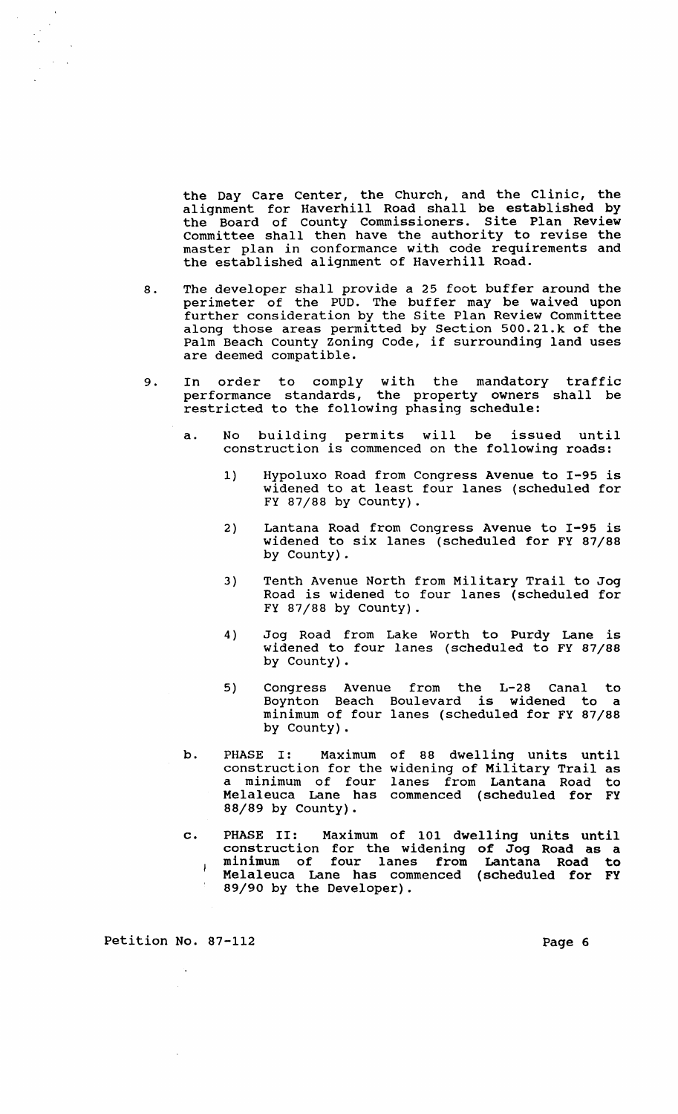the Day Care Center, the Church, and the Clinic, the alignment for Haverhill Road shall be established by the Board of County Commissioners. Site Plan Review Committee shall then have the authority to revise the master plan in conformance with code requirements and the established alignment of Haverhill Road.

- 8. The developer shall provide a 25 foot buffer around the perimeter of the PUD. The buffer may be waived upon further consideration by the Site Plan Review Committee along those areas permitted by section 500.21.k of the Palm Beach County Zoning Code, if surrounding land uses are deemed compatible.
- 9. In order to comply with the mandatory traffic performance standards, the property owners shall be restricted to the following phasing schedule:
	- a. No building permits will be issued until construction is commenced on the following roads:
		- 1) Hypoluxo Road from Congress Avenue to 1-95 is widened to at least four lanes (scheduled for FY 87/88 by County) .
		- 2) Lantana Road from Congress Avenue to 1-95 is widened to six lanes (scheduled for FY 87/88 by County).
		- 3) Tenth Avenue North from Military Trail to Jog Road is widened to four lanes (scheduled for FY 87/88 by County) .
		- 4) Jog Road from Lake Worth to Purdy Lane is widened to four lanes (scheduled to FY 87/88 by County).
		- 5) Congress Avenue from the L-28 Canal to Boynton Beach Boulevard is widened to minimum of four lanes (scheduled for FY 87/88 by County).
	- b. PHASE I: construction for the widening of Military Trail as a minimum of four Melaleuca Lane has 88/89 by County). Maximum of 88 dwelling units until lanes from Lantana Road to commenced (scheduled for FY
	- c. PHASE II: Maximum of 101 dwelling units until construction for the widening of Jog Road as a minimum of four lanes from Lantana Road to  $\left| \right|$ Melaleuca Lane has commenced (scheduled for FY 89/90 by the Developer).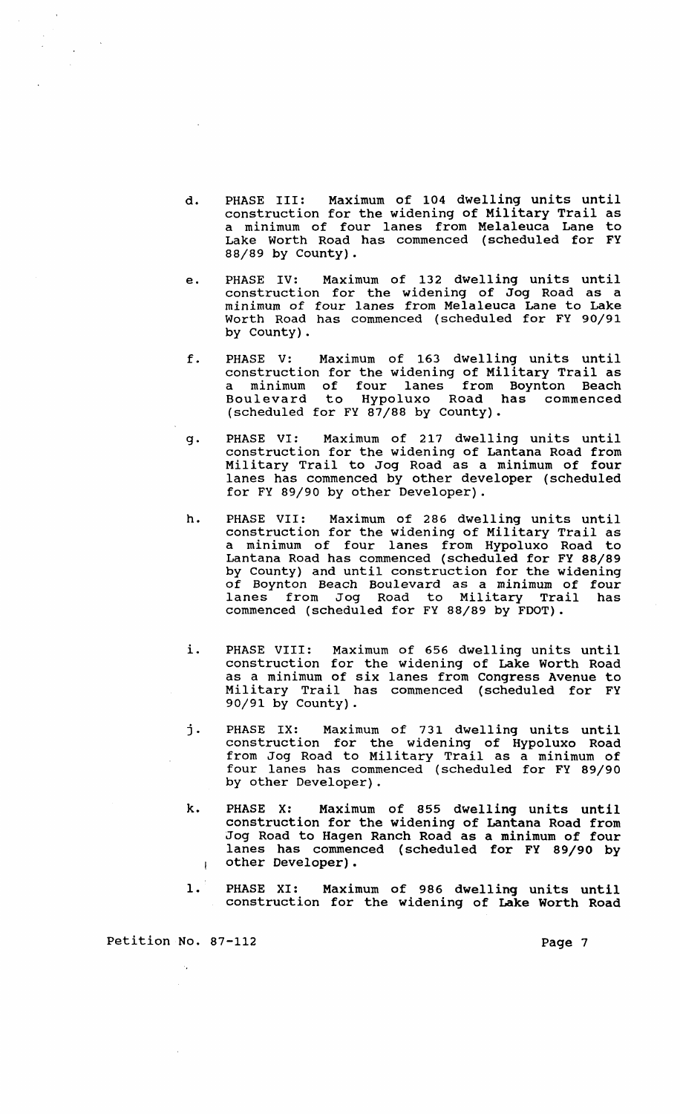- d. PHASE III: Maximum of 104 dwelling units until construction for the widening of Military Trail as a minimum of four lanes from Melaleuca Lane to Lake Worth Road has commenced (scheduled for FY 88/89 by county).
- e. PHASE IV: Maximum of 132 dwelling units until construction for the widening of Jog Road as a minimum of four lanes from Melaleuca Lane to Lake Worth Road has commenced (scheduled for FY 90/91 by County).
- f. PHASE V: Maximum of 163 dwelling units until construction for the widening of Military Trail as a minimum of four lanes from Boynton Beach Boulevard to Hypoluxo Road has commenced (scheduled for FY 87/88 by County).
- g. PHASE VI: Maximum of 217 dwelling units until construction for the widening of Lantana Road from Military Trail to Jog Road as a minimum of four lanes has commenced by other developer (scheduled for FY 89/90 by other Developer).
- h. PHASE VII: Maximum of 286 dwelling units until construction for the widening of Military Trail as a minimum of four lanes from Hypoluxo Road to Lantana Road has commenced (scheduled for FY 88/89 by County) and until construction for the widening of Boynton Beach Boulevard as a minimum of four lanes from Jog Road to Military Trail has commenced (scheduled for FY 88/89 by FDOT).
- i. PHASE VIII: Maximum of 656 dwelling units until construction for the widening of Lake Worth Road as a minimum of six lanes from Congress Avenue to Military Trail has commenced (scheduled for FY 90/91 by County) .
- j. PHASE IX: Maximum of 731 dwelling units until construction for the widening of Hypoluxo Road from Jog Road to Military Trail as a minimum of four lanes has commenced (scheduled for FY 89/90 by other Developer).
- k. PHASE X: Maximum of 855 dwelling units until construction for the widening of Lantana Road from Jog Road to Hagen Ranch Road as a minimum of four lanes has commenced (scheduled for FY 89/90 by other Developer).  $\mathbf{I}$
- 1. PHASE XI: Maximum of 986 dwelling units until construction for the widening of Lake Worth Road

Petition No. 87-112 Page 7

 $\mathcal{L}_{\mathcal{A}}$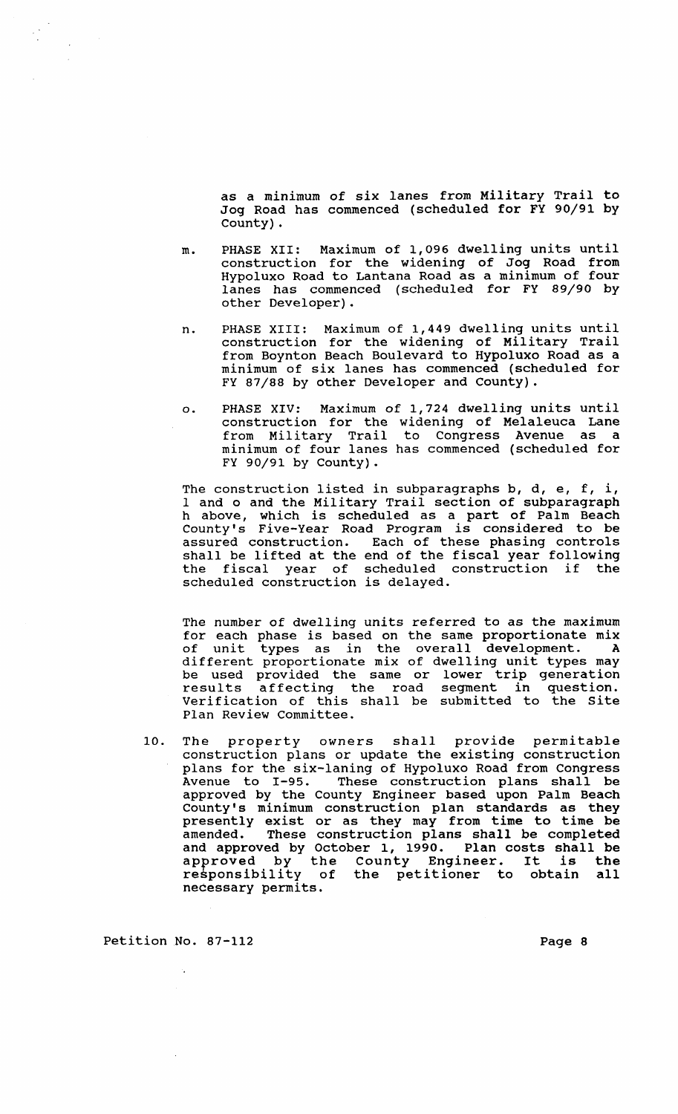as a minimum of six lanes from Military Trail to Jog Road has commenced (scheduled for FY 90/91 by County).

- m. PHASE XII: Maximum of 1,096 dwelling units until construction for the widening of Jog Road from Hypoluxo Road to Lantana Road as a minimum of four lanes has commenced (scheduled for FY 89/90 by other Developer).
- n. PHASE XIII: Maximum of 1,449 dwelling units until construction for the widening of Military Trail from Boynton Beach Boulevard to Hypoluxo Road as a minimum of six lanes has commenced (scheduled for FY 87/88 by other Developer and County).
- o. PHASE XIV: Maximum of 1,724 dwelling units until construction for the widening of Melaleuca Lane from Military Trail to Congress Avenue as a minimum of four lanes has commenced (scheduled for FY 90/91 by County) .

The construction listed in subparagraphs b, d, e, f, i, I and 0 and the Military Trail section of subparagraph h above, which is scheduled as a part of Palm Beach County's Five-Year Road Program is considered to be assured construction. Each of these phasing controls shall be lifted at the end of the fiscal year following the fiscal year of scheduled construction if the scheduled construction is delayed.

The number of dwelling units referred to as the maximum for each phase is based on the same proportionate mix<br>of unit types as in the overall development. A of unit types as in the overall development. different proportionate mix of dwelling unit types may different proportionate mix of dweffing dnit types may<br>be used provided the same or lower trip generation results affecting the road segment in question. Verification of this shall be submitted to the Site Plan Review Committee.

10. The property owners shall provide permitable construction plans or update the existing construction plans for the six-laning of Hypoluxo Road from Congress Avenue to 1-95. These construction plans shall be approved by the County Engineer based upon Palm Beach County's minimum construction plan standards as they presently exist or as they may from time to time be amended. These construction plans shall be completed and approved by October 1, 1990. Plan costs shall be and approved by October 1, 1990. Plan costs snail be<br>approved by the County Engineer. It is the approved by the county bigineti. It is the<br>responsibility of the petitioner to obtain all necessary permits.

Petition No. 87-112 Page 8

 $\sim$   $\sim$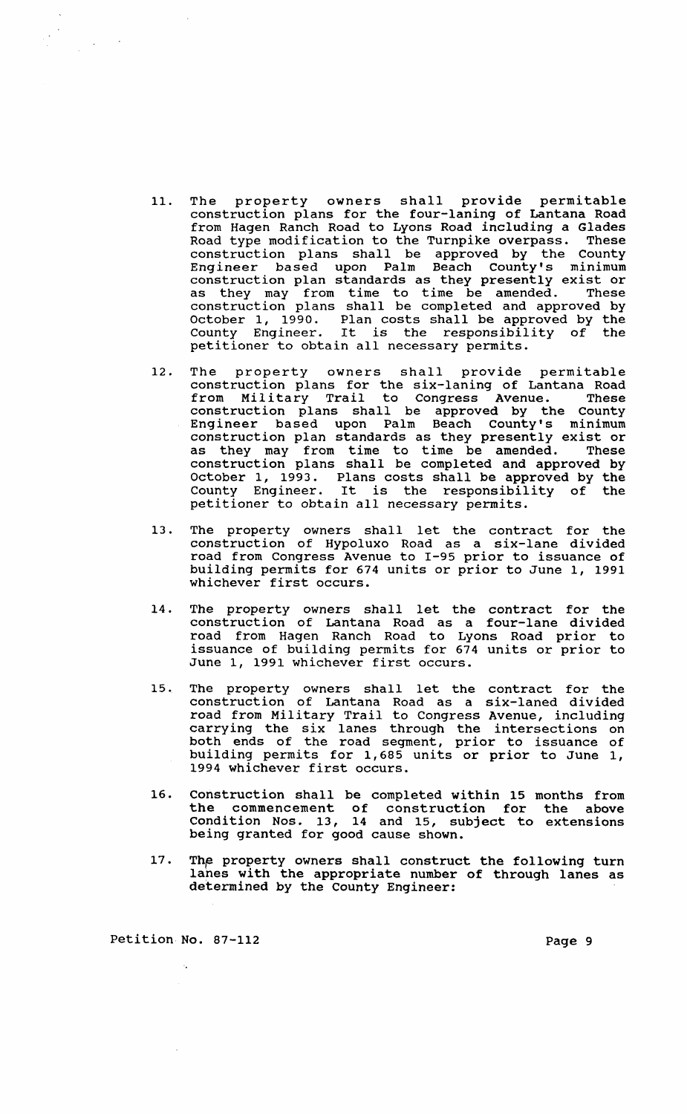- 11. The property owners shall provide permitable construction plans for the four-laning of Lantana Road from Hagen Ranch Road to Lyons Road including a Glades Road type modification to the Turnpike overpass. These construction plans shall be approved by the County Engineer based upon Palm Beach County's minimum construction plan standards as they presently exist or as they may from time to time be amended. These construction plans shall be completed and approved by October 1, 1990. Plan costs shall be approved by the County Engineer. It is the responsibility of the petitioner to obtain all necessary permits.
- 12. The property owners shall provide permitable construction plans for the six-Ianing of Lantana Road from Military Trail to Congress Avenue. These construction plans shall be approved by the County Engineer based upon Palm Beach County's minimum construction plan standards as they presently exist or as they may from time to time be amended. These construction plans shall be completed and approved by October 1, 1993. Plans costs shall be approved by the County Engineer. It is the responsibility of the petitioner to obtain all necessary permits.
- 13. The property owners shall let the contract for the construction of Hypoluxo Road as a six-lane divided road from Congress Avenue to 1-95 prior to issuance of building permits for 674 units or prior to June 1, 1991 whichever first occurs.
- 14. The property owners shall let the contract for the construction of Lantana Road as a four-lane divided road from Hagen Ranch Road to Lyons Road prior to issuance of building permits for 674 units or prior to June 1, 1991 whichever first occurs.
- 15. The property owners shall let the contract for the construction of Lantana Road as a six-Ianed divided road from Military Trail to Congress Avenue, including carrying the six lanes through the intersections on both ends of the road segment, prior to issuance of building permits for 1,685 units or prior to June 1, 1994 whichever first occurs.
- 16. Construction shall be completed within 15 months from the commencement of construction for the above Condition Nos. 13, 14 and 15, subject to extensions being granted for good cause shown.
- 17. The property owners shall construct the following turn lanes with the appropriate number of through lanes as determined by the County Engineer:

Petition No. 87-112 Page 9

 $\mathcal{A}_\bullet$ 

 $\label{eq:2.1} \frac{1}{\sqrt{2}}\left(\frac{1}{\sqrt{2}}\right)^{2} \left(\frac{1}{\sqrt{2}}\right)^{2} \left(\frac{1}{\sqrt{2}}\right)^{2}$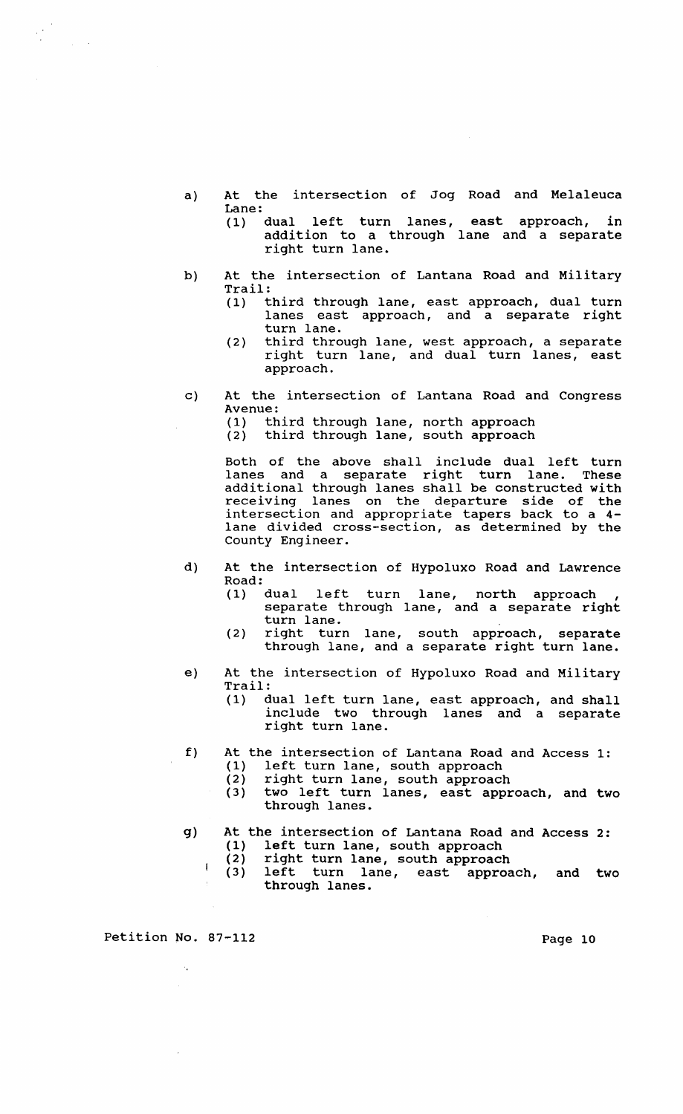- a) At the intersection of Jog Road and Melaleuca Lane:<br>(1) dual
	- left turn lanes, east approach, in addition to a through lane and a separate right turn lane.
- b) At the intersection of Lantana Road and Military Trail:<br>(1)  $t$ 
	- third through lane, east approach, dual turn lanes east approach, and a separate right turn lane.
	- (2) third through lane, west approach, a separate right turn lane, and dual turn lanes, east approach.
- c) At the intersection of Lantana Road and Congress Avenue:<br>(1) th
	- (1) third through lane, north approach<br>(2) third through lane, south approach
	- third through lane, south approach

Both of the above shall include dual left turn lanes and a separate right turn lane. These additional through lanes shall be constructed with receiving lanes on the departure side of the intersection and appropriate tapers back to a 4 lane divided cross-section, as determined by the County Engineer.

- d) At the intersection of Hypoluxo Road and Lawrence Road:
	- (1) dual left turn lane, north approach , separate through lane, and a separate right turn lane.
	- (2) right turn lane, south approach, separate through lane, and a separate right turn lane.
- e) At the intersection of Hypoluxo Road and Military Trail:
	- (1) dual left turn lane, east approach, and shall include two through lanes and a separate right turn lane.
- f) At the intersection of Lantana Road and Access 1:
	-
	- (1) left turn lane, south approach<br>(2) right turn lane, south approacl (2) right turn lane, south approach<br>(3) two left turn lanes, east appr
		- two left turn lanes, east approach, and two through lanes.

# g) At the intersection of Lantana Road and Access 2: (1) left turn lane, south approach<br>(2) right turn lane, south approach

- 
- (2) right turn lane, south approach<br>(3) left turn lane, east approa left turn lane, east approach, and two through lanes.

Petition No. 87-112 Page 10

 $\mathbf{I}$ 

 $\frac{1}{2} \frac{1}{2} \frac{1}{2} \frac{1}{2}$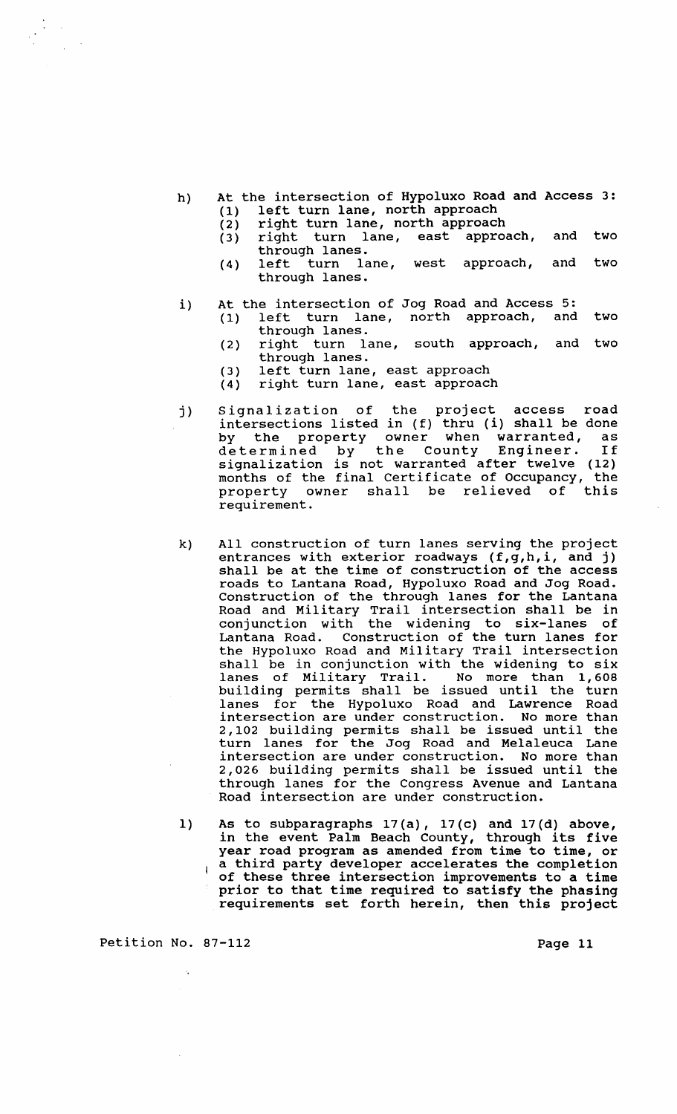- h) At the intersection of Hypoluxo Road and Access 3: (1) left turn lane, north approach<br>(2) right turn lane, north approach
	-
	- (2) right turn lane, north approach<br>(3) right turn lane, east approa right turn lane, east approach, and two
	- through lanes.<br>left turn lane, (4) left turn lane, west approach, and two through lanes.
- i) At the intersection of Jog Road and Access 5:<br>(1) left turn lane, north approach, and
	- (1) left turn lane, north approach, and two through lanes.
	- (2) right turn lane, south approach, and two through lanes.
	- (3) left turn lane, east approach<br>(4) right turn lane, east approach
	- right turn lane, east approach
- j) Signalization of the project access road intersections listed in (f) thru (i) shall be done by the property owner when warranted, as by the property owner when warranted, as<br>determined by the County Engineer. If signalization is not warranted after twelve (12)<br>months of the final Certificate of Occupancy, the months of the final Certificate of Occupancy, the<br>property owner shall be relieved of this shall be relieved requirement.
- k) All construction of turn lanes serving the project entrances with exterior roadways (f,g,h,i, and j) shall be at the time of construction of the access roads to Lantana Road, Hypoluxo Road and Jog Road. Construction of the through lanes for the Lantana Road and Military Trail intersection shall be in conjunction with the widening to six-lanes of Lantana Road. Construction of the turn lanes for the Hypoluxo Road and Military Trail intersection shall be in conjunction with the widening to six lanes of Military Trail. No more than 1,608 building permits shall be issued until the turn lanes for the Hypoluxo Road and Lawrence Road intersection are under construction. No more than 2,102 building permits shall be issued until the turn lanes for the Jog Road and Melaleuca Lane intersection are under construction. No more than 2,026 building permits shall be issued until the through lanes for the Congress Avenue and Lantana Road intersection are under construction.
- 1) As to subparagraphs 17(a), 17(c) and 17(d) above, As to subparagraphs  $\Gamma$ /(a),  $\Gamma$ /(c) and  $\Gamma$ /(d) above,<br>in the event Palm Beach County, through its five year road program as amended from time to time, or a third party developer accelerates the completion  $\overline{\phantom{a}}$ of these three intersection improvements to a time prior to that time required to satisfy the phasing requirements set forth herein, then this project

Petition No. 87-112 Page 11

 $\bar{z}$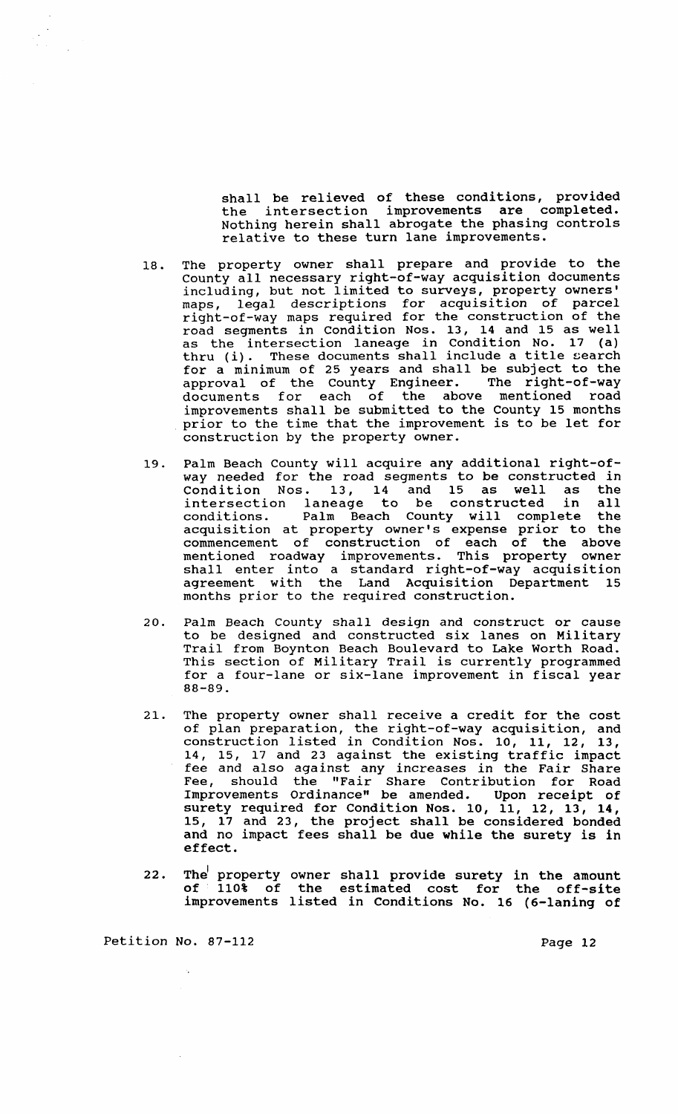shall be relieved of these conditions, provided the intersection improvements are completed. Nothing herein shall abrogate the phasing controls relative to these turn lane improvements.

- 18. The property owner shall prepare and provide to the County all necessary right-of-way acquisition documents including, but not limited to surveys, property owners' maps, legal descriptions for acquisition of parcel right-of-way maps required for the construction of the road segments in Condition Nos. 13, 14 and 15 as well as the intersection laneage in Condition No. 17 (a) as the intersection laneage in condition No. 17 (a)<br>thru (i). These documents shall include a title search for a minimum of 25 years and shall be subject to the approval of the county Engineer. The right-of-way documents for each of the above mentioned road improvements shall be submitted to the County 15 months Improvements shart be submitted to the county is months<br>prior to the time that the improvement is to be let for construction by the property owner.
- 19. Palm Beach County will acquire any additional right-ofway needed for the road segments to be constructed in Condition Nos. 13, 14 and 15 as well as the intersection laneage to be constructed in all intersection laneage to be constructed in all<br>conditions. Palm Beach County will complete the acquisition at property owner's expense prior to the commencement of construction of each of the above mentioned roadway improvements. This property owner shall enter into a standard right-of-way acquisition agreement with the Land Acquisition Department 15 months prior to the required construction.
- 20. Palm Beach County shall design and construct or cause to be designed and constructed six lanes on Military Trail from Boynton Beach Boulevard to Lake Worth Road. This section of Military Trail is currently programmed for a four-lane or six-lane improvement in fiscal year 88-89.
- 21. The property owner shall receive a credit for the cost of plan preparation, the right-of-way acquisition, and or plan preparacion, end right of way acquisition, and<br>construction listed in Condition Nos. 10, 11, 12, 13, 14, 15, 17 and 23 against the existing traffic impact fee and also against any increases in the Fair Share Fee, should the "Fair Share Contribution for Road Improvements Ordinance" be amended. Upon receipt of surety required for Condition Nos. 10, 11, 12, 13, 14, 15, 17 and 23, the project shall be considered bonded and no impact fees shall be due while the surety is in effect.
- 22. The' property  $of 110<sup>8</sup> of$ improvements listed in Conditions No. 16 (6-laning of owner shall provide surety in the amount the estimated cost for the off-site

Petition No. 87-112

Page 12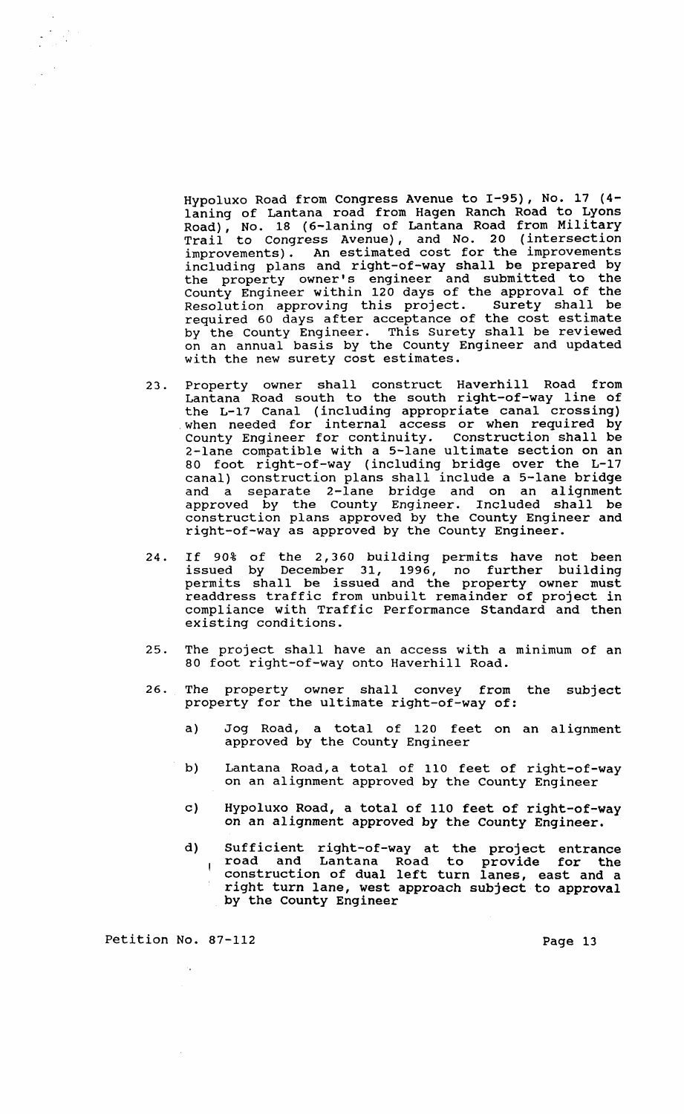Hypoluxo Road from Congress Avenue to 1-95), No. 17 (4 laning of Lantana road from Hagen Ranch Road to Lyons Road), No. 18 (6-laning of Lantana Road from Military Trail to Congress Avenue), and No. 20 (intersection improvements). An estimated cost for the improvements including plans and right-of-way shall be prepared by the property owner's engineer and submitted to the County Engineer within 120 days of the approval of the Resolution approving this project. surety shall be required 60 days after acceptance of the cost estimate by the County Engineer. This Surety shall be reviewed on an annual basis by the County Engineer and updated with the new surety cost estimates.

- 23. Property owner shall construct Haverhill Road from Lantana Road south to the south right-of-way line of the L-17 Canal (including appropriate canal crossing) when needed for internal access or when required by County Engineer for continuity. Construction shall be 2-lane compatible with a 5-lane ultimate section on an 80 foot right-of-way (including bridge over the L-17 canal) construction plans shall include a 5-lane bridge and a separate 2-lane bridge and on an alignment approved by the County Engineer. Included shall be construction plans approved by the County Engineer and right-of-way as approved by the County Engineer.
- 24. If 90% of the 2,360 building permits have not been issued by December 31, 1996, no further building permits shall be issued and the property owner must readdress traffic from unbuilt remainder of project in compliance with Traffic Performance Standard and then existing conditions.
- 25. The project shall have an access with a minimum of an 80 foot right-of-way onto Haverhill Road.
- 26. The property owner shall convey from the subject property for the ultimate right-of-way of:
	- a) Jog Road, a total of 120 feet on an alignment approved by the County Engineer
	- b) Lantana Road, a total of 110 feet of right-of-way on an alignment approved by the County Engineer
	- c) Hypoluxo Road, a total of 110 feet of right-of-way on an alignment approved by the County Engineer.
	- d) Sufficient right-of-way at the project entrance road and Lantana Road to provide for the  $\mathbf{I}$ construction of dual left turn lanes, east and a right turn lane, west approach subject to approval by the County Engineer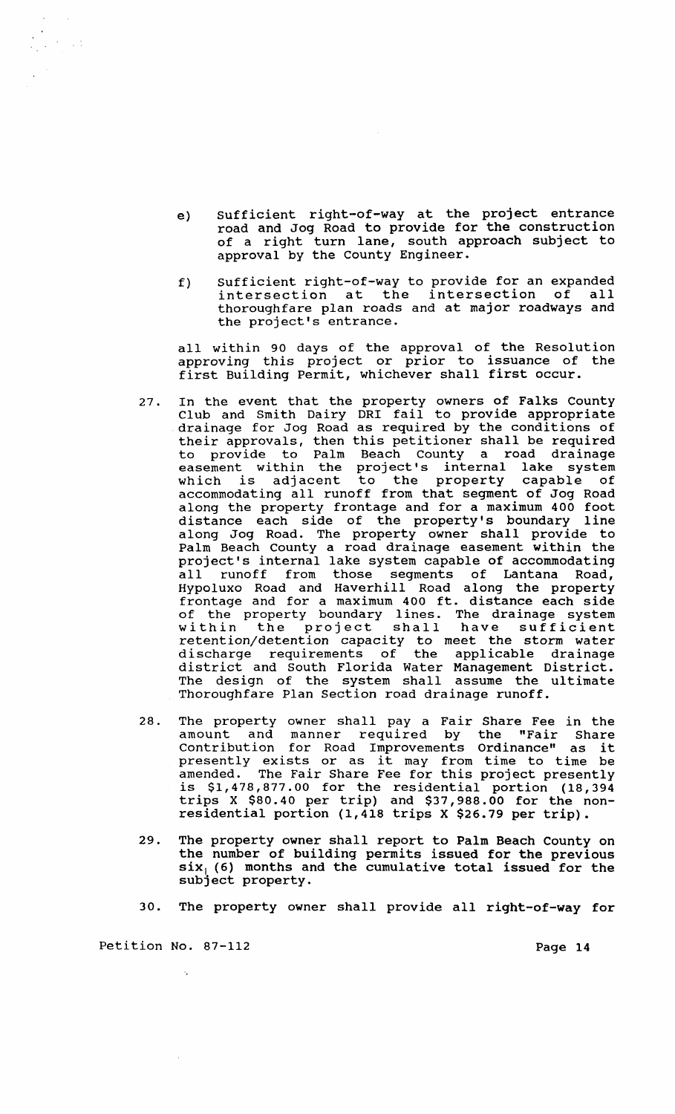- e) Sufficient right-of-way at the project entrance road and Jog Road to provide for the construction con the contract of a right turn lane, south approach subject to approval by the County Engineer.
- f) Sufficient right-of-way to provide for an expanded sufficient fight of way to provide for an expanded<br>intersection at the intersection of all thoroughfare plan roads and at major roadways and the project's entrance.

all within 90 days of the approval of the Resolution approving this project or prior to issuance of the first Building Permit, whichever shall first occur.

- 27. In the event that the property owners of Falks county Club and Smith Dairy DRI fail to provide appropriate drainage for Jog Road as required by the conditions of their approvals, then this petitioner shall be required to provide to Palm Beach County a road drainage easement within the project's internal lake system easement within the project's internal lake system accommodating all runoff from that segment of Jog Road along the property frontage and for a maximum 400 foot distance each side of the property's boundary line along Jog Road. The property owner shall provide to Palm Beach County a road drainage easement within the project's internal lake system capable of accommodating all runoff from those segments of Lantana Road, Hypoluxo Road and Haverhill Road along the property frontage and for a maximum 400 ft. distance each side of the property boundary lines. The drainage system of the property boundary lines. The drainage system<br>within the project shall have sufficient retention/detention capacity to meet the storm water discharge requirements of the applicable drainage district and South Florida Water Management District. The design of the system shall assume the ultimate Thoroughfare Plan section road drainage runoff.
- 28. The property owner shall pay a Fair Share Fee in the amount and manner required by the "Fair Share amount and manner required by the "rair share<br>Contribution for Road Improvements Ordinance" as it presently exists or as it may from time to time be amended. The Fair Share Fee for this project presently is \$1,478,877.00 for the residential portion (18,394 trips X \$80.40 per trip) and \$37,988.00 for the nonresidential portion (1,418 trips X \$26.79 per trip).
- 29. The property owner shall report to Palm Beach County on the number of building permits issued for the previous  $\frac{1}{\sin x}$ , (6) months and the cumulative total issued for the subject property.
- 30. The property owner shall provide all right-of-way for

Petition No. 87-112 Page 14

 $\bar{z}$ 

 $\overline{a}$ 

 $\sim$   $\sim$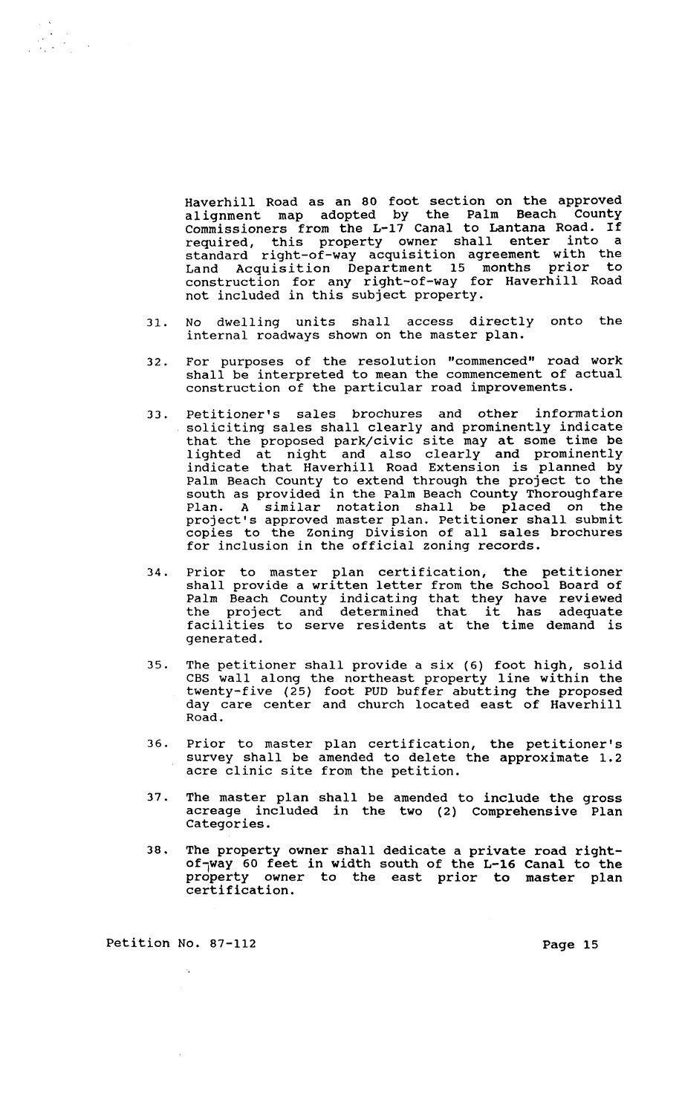Haverhill Road as an 80 foot section on the approved alignment map adopted by the Palm Beach county Commissioners from the L-17 Canal to Lantana Road. If required, this property owner shall enter into a standard right-of-way acquisition agreement with the Land Acquisition Department 15 months prior to construction for any right-of-way for Haverhill Road not included in this subject property.

- 31. No dwelling units shall access directly onto the internal roadways shown on the master plan.
- 32. For purposes of the resolution "commenced" road work shall be interpreted to mean the commencement of actual construction of the particular road improvements.
- 33. Petitioner's sales brochures and other information soliciting sales shall clearly and prominently indicate that the proposed park/civic site may at some time be lighted at night and also clearly and prominently indicate that Haverhill Road Extension is planned by Palm Beach County to extend through the project to the south as provided in the Palm Beach County Thoroughfare Plan. A similar notation shall be placed on the project's approved master plan. Petitioner shall submit copies to the Zoning Division of all sales brochures for inclusion in the official zoning records.
- 34. Prior to master plan certification, the petitioner shall provide a written letter from the School Board of Palm Beach County indicating that they have reviewed Paim Beach County indicating that they have reviewed<br>the project and determined that it has adequate facilities to serve residents at the time demand is generated.
- 35. The petitioner shall provide a six (6) foot high, solid CBS wall along the northeast property line within the twenty-five (25) foot PUD buffer abutting the proposed day care center and church located east of Haverhill Road.
- 36. Prior to master plan certification, the petitioner's survey shall be amended to delete the approximate 1.2 acre clinic site from the petition.
- 37. The master plan shall be amended to include the gross acreage included in the two (2) Comprehensive Plan Categories.
- 38. The property owner shall dedicate a private road rightof-way 60 feet in width south of the L-16 Canal to the property owner to the east prior to master plan certification.